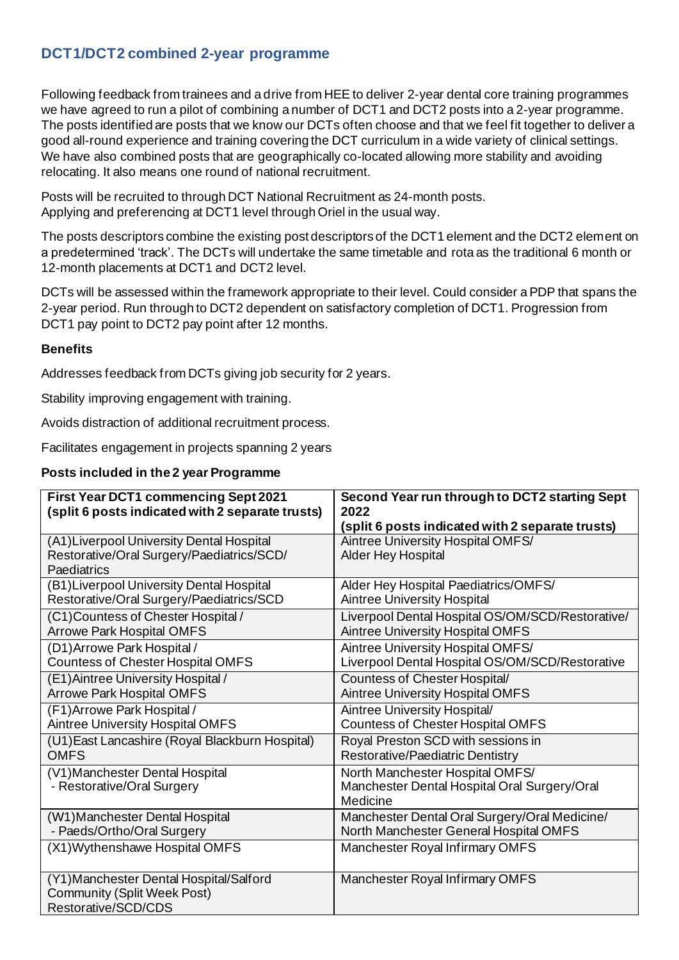## **DCT1/DCT2 combined 2-year programme**

Following feedback from trainees and a drive from HEE to deliver 2-year dental core training programmes we have agreed to run a pilot of combining a number of DCT1 and DCT2 posts into a 2-year programme. The posts identified are posts that we know our DCTs often choose and that we feel fit together to deliver a good all-round experience and training covering the DCT curriculum in a wide variety of clinical settings. We have also combined posts that are geographically co-located allowing more stability and avoiding relocating. It also means one round of national recruitment.

Posts will be recruited to through DCT National Recruitment as 24-month posts. Applying and preferencing at DCT1 level through Oriel in the usual way.

The posts descriptors combine the existing post descriptors of the DCT1 element and the DCT2 element on a predetermined 'track'. The DCTs will undertake the same timetable and rota as the traditional 6 month or 12-month placements at DCT1 and DCT2 level.

DCTs will be assessed within the framework appropriate to their level. Could consider a PDP that spans the 2-year period. Run through to DCT2 dependent on satisfactory completion of DCT1. Progression from DCT1 pay point to DCT2 pay point after 12 months.

## **Benefits**

Addresses feedback from DCTs giving job security for 2 years.

Stability improving engagement with training.

Avoids distraction of additional recruitment process.

Facilitates engagement in projects spanning 2 years

## **Posts included in the 2 year Programme**

| <b>First Year DCT1 commencing Sept 2021</b><br>(split 6 posts indicated with 2 separate trusts)       | Second Year run through to DCT2 starting Sept<br>2022<br>(split 6 posts indicated with 2 separate trusts) |
|-------------------------------------------------------------------------------------------------------|-----------------------------------------------------------------------------------------------------------|
| (A1) Liverpool University Dental Hospital<br>Restorative/Oral Surgery/Paediatrics/SCD/<br>Paediatrics | Aintree University Hospital OMFS/<br>Alder Hey Hospital                                                   |
| (B1) Liverpool University Dental Hospital                                                             | Alder Hey Hospital Paediatrics/OMFS/                                                                      |
| Restorative/Oral Surgery/Paediatrics/SCD                                                              | <b>Aintree University Hospital</b>                                                                        |
| (C1) Countess of Chester Hospital /                                                                   | Liverpool Dental Hospital OS/OM/SCD/Restorative/                                                          |
| <b>Arrowe Park Hospital OMFS</b>                                                                      | <b>Aintree University Hospital OMFS</b>                                                                   |
| (D1) Arrowe Park Hospital /                                                                           | Aintree University Hospital OMFS/                                                                         |
| <b>Countess of Chester Hospital OMFS</b>                                                              | Liverpool Dental Hospital OS/OM/SCD/Restorative                                                           |
| (E1) Aintree University Hospital /                                                                    | Countess of Chester Hospital/                                                                             |
| <b>Arrowe Park Hospital OMFS</b>                                                                      | <b>Aintree University Hospital OMFS</b>                                                                   |
| (F1) Arrowe Park Hospital /                                                                           | Aintree University Hospital/                                                                              |
| <b>Aintree University Hospital OMFS</b>                                                               | <b>Countess of Chester Hospital OMFS</b>                                                                  |
| (U1) East Lancashire (Royal Blackburn Hospital)                                                       | Royal Preston SCD with sessions in                                                                        |
| <b>OMFS</b>                                                                                           | Restorative/Paediatric Dentistry                                                                          |
| (V1) Manchester Dental Hospital<br>- Restorative/Oral Surgery                                         | North Manchester Hospital OMFS/<br>Manchester Dental Hospital Oral Surgery/Oral<br>Medicine               |
| (W1) Manchester Dental Hospital                                                                       | Manchester Dental Oral Surgery/Oral Medicine/                                                             |
| - Paeds/Ortho/Oral Surgery                                                                            | North Manchester General Hospital OMFS                                                                    |
| (X1) Wythenshawe Hospital OMFS                                                                        | Manchester Royal Infirmary OMFS                                                                           |
| (Y1) Manchester Dental Hospital/Salford<br><b>Community (Split Week Post)</b><br>Restorative/SCD/CDS  | Manchester Royal Infirmary OMFS                                                                           |